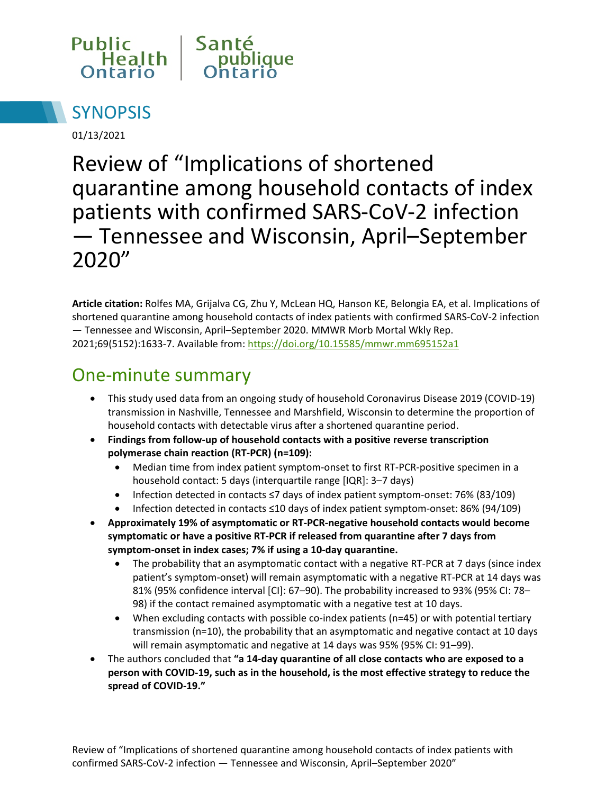



01/13/2021

Review of "Implications of shortened quarantine among household contacts of index patients with confirmed SARS-CoV-2 infection — Tennessee and Wisconsin, April–September 2020"

**Article citation:** Rolfes MA, Grijalva CG, Zhu Y, McLean HQ, Hanson KE, Belongia EA, et al. Implications of shortened quarantine among household contacts of index patients with confirmed SARS-CoV-2 infection — Tennessee and Wisconsin, April–September 2020. MMWR Morb Mortal Wkly Rep. 2021;69(5152):1633-7. Available from: https://doi.org/10.15585/mmwr.mm695152a1

### One-minute summary

- This study used data from an ongoing study of household Coronavirus Disease 2019 (COVID-19) transmission in Nashville, Tennessee and Marshfield, Wisconsin to determine the proportion of household contacts with detectable virus after a shortened quarantine period.
- **Findings from follow-up of household contacts with a positive reverse transcription polymerase chain reaction (RT-PCR) (n=109):** 
	- Median time from index patient symptom-onset to first RT-PCR-positive specimen in a household contact: 5 days (interquartile range [IQR]: 3–7 days)
	- Infection detected in contacts ≤7 days of index patient symptom-onset: 76% (83/109)
	- Infection detected in contacts ≤10 days of index patient symptom-onset: 86% (94/109)
- **Approximately 19% of asymptomatic or RT-PCR-negative household contacts would become symptomatic or have a positive RT-PCR if released from quarantine after 7 days from symptom-onset in index cases; 7% if using a 10-day quarantine.** 
	- The probability that an asymptomatic contact with a negative RT-PCR at 7 days (since index patient's symptom-onset) will remain asymptomatic with a negative RT-PCR at 14 days was 81% (95% confidence interval [CI]: 67–90). The probability increased to 93% (95% CI: 78– 98) if the contact remained asymptomatic with a negative test at 10 days.
	- When excluding contacts with possible co-index patients (n=45) or with potential tertiary transmission (n=10), the probability that an asymptomatic and negative contact at 10 days will remain asymptomatic and negative at 14 days was 95% (95% CI: 91–99).
- The authors concluded that **"a 14-day quarantine of all close contacts who are exposed to a person with COVID-19, such as in the household, is the most effective strategy to reduce the spread of COVID-19."**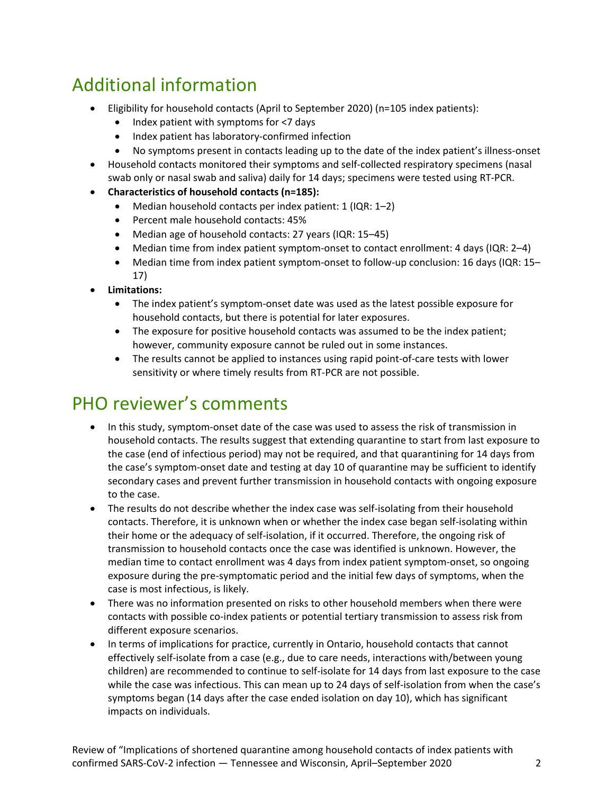# Additional information

- Eligibility for household contacts (April to September 2020) (n=105 index patients):
	- Index patient with symptoms for <7 days
	- Index patient has laboratory-confirmed infection
	- No symptoms present in contacts leading up to the date of the index patient's illness-onset
- Household contacts monitored their symptoms and self-collected respiratory specimens (nasal swab only or nasal swab and saliva) daily for 14 days; specimens were tested using RT-PCR.
- **Characteristics of household contacts (n=185):** 
	- Median household contacts per index patient: 1 (IQR: 1-2)
	- Percent male household contacts: 45%
	- Median age of household contacts: 27 years (IQR: 15–45)
	- Median time from index patient symptom-onset to contact enrollment: 4 days (IQR: 2-4)
	- Median time from index patient symptom-onset to follow-up conclusion: 16 days (IQR: 15– 17)
- **Limitations:**
	- The index patient's symptom-onset date was used as the latest possible exposure for household contacts, but there is potential for later exposures.
	- The exposure for positive household contacts was assumed to be the index patient; however, community exposure cannot be ruled out in some instances.
	- The results cannot be applied to instances using rapid point-of-care tests with lower sensitivity or where timely results from RT-PCR are not possible.

### PHO reviewer's comments

- In this study, symptom-onset date of the case was used to assess the risk of transmission in household contacts. The results suggest that extending quarantine to start from last exposure to the case (end of infectious period) may not be required, and that quarantining for 14 days from the case's symptom-onset date and testing at day 10 of quarantine may be sufficient to identify secondary cases and prevent further transmission in household contacts with ongoing exposure to the case.
- The results do not describe whether the index case was self-isolating from their household contacts. Therefore, it is unknown when or whether the index case began self-isolating within their home or the adequacy of self-isolation, if it occurred. Therefore, the ongoing risk of transmission to household contacts once the case was identified is unknown. However, the median time to contact enrollment was 4 days from index patient symptom-onset, so ongoing exposure during the pre-symptomatic period and the initial few days of symptoms, when the case is most infectious, is likely.
- There was no information presented on risks to other household members when there were contacts with possible co-index patients or potential tertiary transmission to assess risk from different exposure scenarios.
- In terms of implications for practice, currently in Ontario, household contacts that cannot effectively self-isolate from a case (e.g., due to care needs, interactions with/between young children) are recommended to continue to self-isolate for 14 days from last exposure to the case while the case was infectious. This can mean up to 24 days of self-isolation from when the case's symptoms began (14 days after the case ended isolation on day 10), which has significant impacts on individuals.